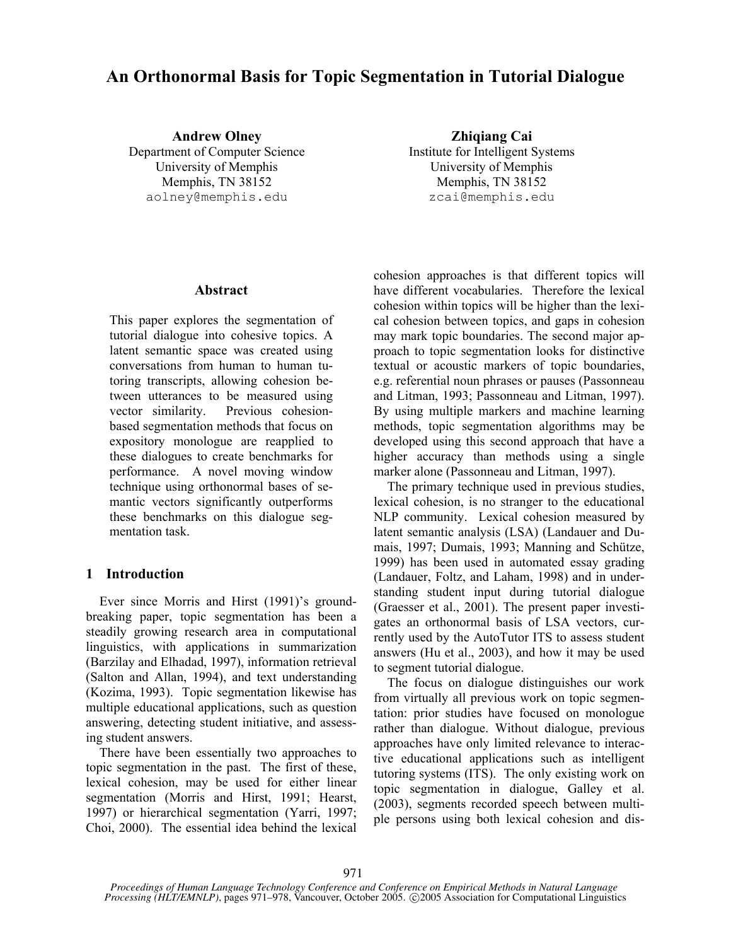# **An Orthonormal Basis for Topic Segmentation in Tutorial Dialogue**

University of Memphis University of Memphis Memphis, TN 38152 Memphis, TN 38152 aolney@memphis.edu zcai@memphis.edu

**Andrew Olney Zhiqiang Cai** Department of Computer Science<br>Institute for Intelligent Systems

#### **Abstract**

This paper explores the segmentation of tutorial dialogue into cohesive topics. A latent semantic space was created using conversations from human to human tutoring transcripts, allowing cohesion between utterances to be measured using vector similarity. Previous cohesionbased segmentation methods that focus on expository monologue are reapplied to these dialogues to create benchmarks for performance. A novel moving window technique using orthonormal bases of semantic vectors significantly outperforms these benchmarks on this dialogue segmentation task.

#### **1 Introduction**

Ever since Morris and Hirst (1991)'s groundbreaking paper, topic segmentation has been a steadily growing research area in computational linguistics, with applications in summarization (Barzilay and Elhadad, 1997), information retrieval (Salton and Allan, 1994), and text understanding (Kozima, 1993). Topic segmentation likewise has multiple educational applications, such as question answering, detecting student initiative, and assessing student answers.

There have been essentially two approaches to topic segmentation in the past. The first of these, lexical cohesion, may be used for either linear segmentation (Morris and Hirst, 1991; Hearst, 1997) or hierarchical segmentation (Yarri, 1997; Choi, 2000). The essential idea behind the lexical cohesion approaches is that different topics will have different vocabularies. Therefore the lexical cohesion within topics will be higher than the lexical cohesion between topics, and gaps in cohesion may mark topic boundaries. The second major approach to topic segmentation looks for distinctive textual or acoustic markers of topic boundaries, e.g. referential noun phrases or pauses (Passonneau and Litman, 1993; Passonneau and Litman, 1997). By using multiple markers and machine learning methods, topic segmentation algorithms may be developed using this second approach that have a higher accuracy than methods using a single marker alone (Passonneau and Litman, 1997).

The primary technique used in previous studies, lexical cohesion, is no stranger to the educational NLP community. Lexical cohesion measured by latent semantic analysis (LSA) (Landauer and Dumais, 1997; Dumais, 1993; Manning and Schütze, 1999) has been used in automated essay grading (Landauer, Foltz, and Laham, 1998) and in understanding student input during tutorial dialogue (Graesser et al., 2001). The present paper investigates an orthonormal basis of LSA vectors, currently used by the AutoTutor ITS to assess student answers (Hu et al., 2003), and how it may be used to segment tutorial dialogue.

The focus on dialogue distinguishes our work from virtually all previous work on topic segmentation: prior studies have focused on monologue rather than dialogue. Without dialogue, previous approaches have only limited relevance to interactive educational applications such as intelligent tutoring systems (ITS). The only existing work on topic segmentation in dialogue, Galley et al. (2003), segments recorded speech between multiple persons using both lexical cohesion and dis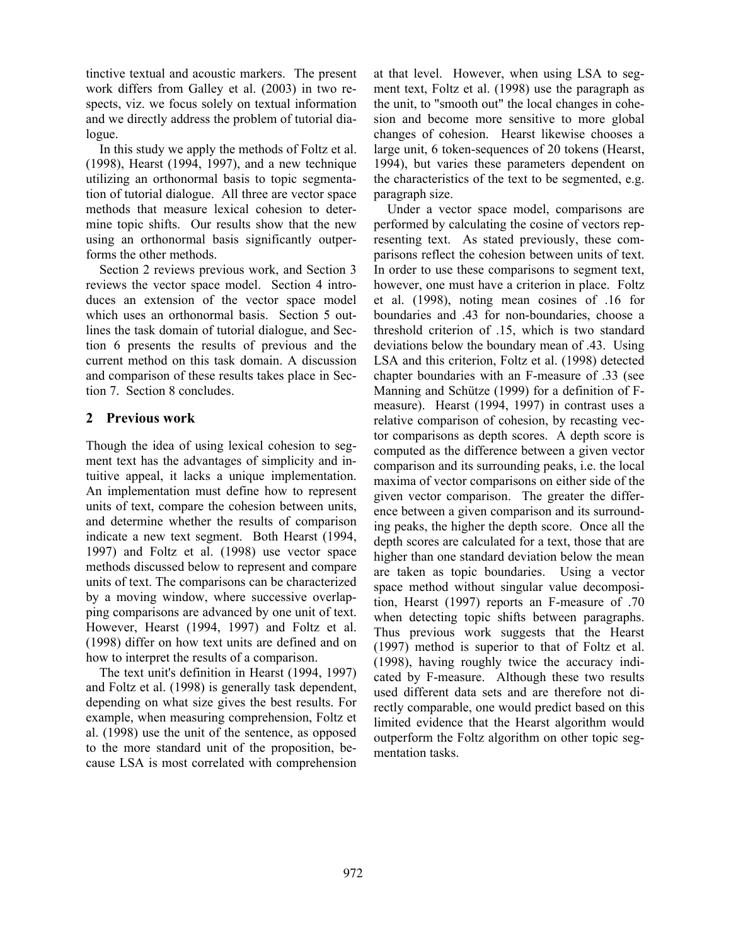tinctive textual and acoustic markers. The present work differs from Galley et al. (2003) in two respects, viz. we focus solely on textual information and we directly address the problem of tutorial dialogue.

In this study we apply the methods of Foltz et al. (1998), Hearst (1994, 1997), and a new technique utilizing an orthonormal basis to topic segmentation of tutorial dialogue. All three are vector space methods that measure lexical cohesion to determine topic shifts. Our results show that the new using an orthonormal basis significantly outperforms the other methods.

Section 2 reviews previous work, and Section 3 reviews the vector space model. Section 4 introduces an extension of the vector space model which uses an orthonormal basis. Section 5 outlines the task domain of tutorial dialogue, and Section 6 presents the results of previous and the current method on this task domain. A discussion and comparison of these results takes place in Section 7. Section 8 concludes.

# **2 Previous work**

Though the idea of using lexical cohesion to segment text has the advantages of simplicity and intuitive appeal, it lacks a unique implementation. An implementation must define how to represent units of text, compare the cohesion between units, and determine whether the results of comparison indicate a new text segment. Both Hearst (1994, 1997) and Foltz et al. (1998) use vector space methods discussed below to represent and compare units of text. The comparisons can be characterized by a moving window, where successive overlapping comparisons are advanced by one unit of text. However, Hearst (1994, 1997) and Foltz et al. (1998) differ on how text units are defined and on how to interpret the results of a comparison.

The text unit's definition in Hearst (1994, 1997) and Foltz et al. (1998) is generally task dependent, depending on what size gives the best results. For example, when measuring comprehension, Foltz et al. (1998) use the unit of the sentence, as opposed to the more standard unit of the proposition, because LSA is most correlated with comprehension at that level. However, when using LSA to segment text, Foltz et al. (1998) use the paragraph as the unit, to "smooth out" the local changes in cohesion and become more sensitive to more global changes of cohesion. Hearst likewise chooses a large unit, 6 token-sequences of 20 tokens (Hearst, 1994), but varies these parameters dependent on the characteristics of the text to be segmented, e.g. paragraph size.

Under a vector space model, comparisons are performed by calculating the cosine of vectors representing text. As stated previously, these comparisons reflect the cohesion between units of text. In order to use these comparisons to segment text, however, one must have a criterion in place. Foltz et al. (1998), noting mean cosines of .16 for boundaries and .43 for non-boundaries, choose a threshold criterion of .15, which is two standard deviations below the boundary mean of .43. Using LSA and this criterion, Foltz et al. (1998) detected chapter boundaries with an F-measure of .33 (see Manning and Schütze (1999) for a definition of Fmeasure). Hearst (1994, 1997) in contrast uses a relative comparison of cohesion, by recasting vector comparisons as depth scores. A depth score is computed as the difference between a given vector comparison and its surrounding peaks, i.e. the local maxima of vector comparisons on either side of the given vector comparison. The greater the difference between a given comparison and its surrounding peaks, the higher the depth score. Once all the depth scores are calculated for a text, those that are higher than one standard deviation below the mean are taken as topic boundaries. Using a vector space method without singular value decomposition, Hearst (1997) reports an F-measure of .70 when detecting topic shifts between paragraphs. Thus previous work suggests that the Hearst (1997) method is superior to that of Foltz et al. (1998), having roughly twice the accuracy indicated by F-measure. Although these two results used different data sets and are therefore not directly comparable, one would predict based on this limited evidence that the Hearst algorithm would outperform the Foltz algorithm on other topic segmentation tasks.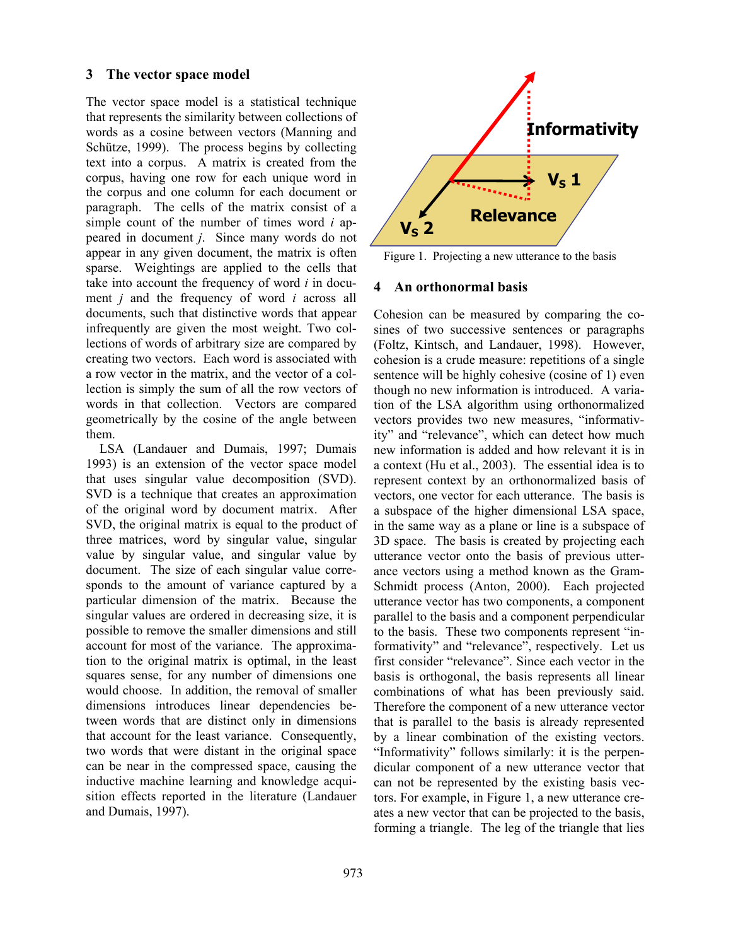#### **3 The vector space model**

The vector space model is a statistical technique that represents the similarity between collections of words as a cosine between vectors (Manning and Schütze, 1999). The process begins by collecting text into a corpus. A matrix is created from the corpus, having one row for each unique word in the corpus and one column for each document or paragraph. The cells of the matrix consist of a simple count of the number of times word *i* appeared in document *j*. Since many words do not appear in any given document, the matrix is often sparse. Weightings are applied to the cells that take into account the frequency of word *i* in document *j* and the frequency of word *i* across all documents, such that distinctive words that appear infrequently are given the most weight. Two collections of words of arbitrary size are compared by creating two vectors. Each word is associated with a row vector in the matrix, and the vector of a collection is simply the sum of all the row vectors of words in that collection. Vectors are compared geometrically by the cosine of the angle between them.

LSA (Landauer and Dumais, 1997; Dumais 1993) is an extension of the vector space model that uses singular value decomposition (SVD). SVD is a technique that creates an approximation of the original word by document matrix. After SVD, the original matrix is equal to the product of three matrices, word by singular value, singular value by singular value, and singular value by document. The size of each singular value corresponds to the amount of variance captured by a particular dimension of the matrix. Because the singular values are ordered in decreasing size, it is possible to remove the smaller dimensions and still account for most of the variance. The approximation to the original matrix is optimal, in the least squares sense, for any number of dimensions one would choose. In addition, the removal of smaller dimensions introduces linear dependencies between words that are distinct only in dimensions that account for the least variance. Consequently, two words that were distant in the original space can be near in the compressed space, causing the inductive machine learning and knowledge acquisition effects reported in the literature (Landauer and Dumais, 1997).



Figure 1. Projecting a new utterance to the basis

#### **4 An orthonormal basis**

Cohesion can be measured by comparing the cosines of two successive sentences or paragraphs (Foltz, Kintsch, and Landauer, 1998). However, cohesion is a crude measure: repetitions of a single sentence will be highly cohesive (cosine of 1) even though no new information is introduced. A variation of the LSA algorithm using orthonormalized vectors provides two new measures, "informativity" and "relevance", which can detect how much new information is added and how relevant it is in a context (Hu et al., 2003). The essential idea is to represent context by an orthonormalized basis of vectors, one vector for each utterance. The basis is a subspace of the higher dimensional LSA space, in the same way as a plane or line is a subspace of 3D space. The basis is created by projecting each utterance vector onto the basis of previous utterance vectors using a method known as the Gram-Schmidt process (Anton, 2000). Each projected utterance vector has two components, a component parallel to the basis and a component perpendicular to the basis. These two components represent "informativity" and "relevance", respectively. Let us first consider "relevance". Since each vector in the basis is orthogonal, the basis represents all linear combinations of what has been previously said. Therefore the component of a new utterance vector that is parallel to the basis is already represented by a linear combination of the existing vectors. "Informativity" follows similarly: it is the perpendicular component of a new utterance vector that can not be represented by the existing basis vectors. For example, in Figure 1, a new utterance creates a new vector that can be projected to the basis, forming a triangle. The leg of the triangle that lies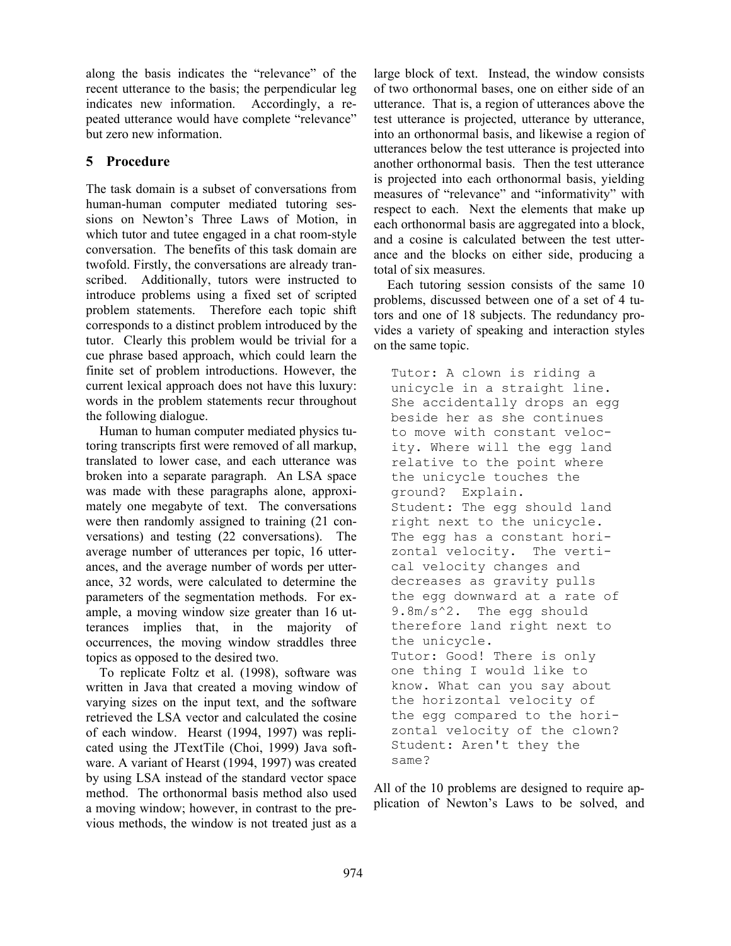along the basis indicates the "relevance" of the recent utterance to the basis; the perpendicular leg indicates new information. Accordingly, a repeated utterance would have complete "relevance" but zero new information.

# **5 Procedure**

The task domain is a subset of conversations from human-human computer mediated tutoring sessions on Newton's Three Laws of Motion, in which tutor and tutee engaged in a chat room-style conversation. The benefits of this task domain are twofold. Firstly, the conversations are already transcribed. Additionally, tutors were instructed to introduce problems using a fixed set of scripted problem statements. Therefore each topic shift corresponds to a distinct problem introduced by the tutor. Clearly this problem would be trivial for a cue phrase based approach, which could learn the finite set of problem introductions. However, the current lexical approach does not have this luxury: words in the problem statements recur throughout the following dialogue.

Human to human computer mediated physics tutoring transcripts first were removed of all markup, translated to lower case, and each utterance was broken into a separate paragraph. An LSA space was made with these paragraphs alone, approximately one megabyte of text. The conversations were then randomly assigned to training (21 conversations) and testing (22 conversations). The average number of utterances per topic, 16 utterances, and the average number of words per utterance, 32 words, were calculated to determine the parameters of the segmentation methods. For example, a moving window size greater than 16 utterances implies that, in the majority of occurrences, the moving window straddles three topics as opposed to the desired two.

To replicate Foltz et al. (1998), software was written in Java that created a moving window of varying sizes on the input text, and the software retrieved the LSA vector and calculated the cosine of each window. Hearst (1994, 1997) was replicated using the JTextTile (Choi, 1999) Java software. A variant of Hearst (1994, 1997) was created by using LSA instead of the standard vector space method. The orthonormal basis method also used a moving window; however, in contrast to the previous methods, the window is not treated just as a large block of text. Instead, the window consists of two orthonormal bases, one on either side of an utterance. That is, a region of utterances above the test utterance is projected, utterance by utterance, into an orthonormal basis, and likewise a region of utterances below the test utterance is projected into another orthonormal basis. Then the test utterance is projected into each orthonormal basis, yielding measures of "relevance" and "informativity" with respect to each. Next the elements that make up each orthonormal basis are aggregated into a block, and a cosine is calculated between the test utterance and the blocks on either side, producing a total of six measures.

Each tutoring session consists of the same 10 problems, discussed between one of a set of 4 tutors and one of 18 subjects. The redundancy provides a variety of speaking and interaction styles on the same topic.

Tutor: A clown is riding a unicycle in a straight line. She accidentally drops an egg beside her as she continues to move with constant velocity. Where will the egg land relative to the point where the unicycle touches the ground? Explain. Student: The egg should land right next to the unicycle. The egg has a constant horizontal velocity. The vertical velocity changes and decreases as gravity pulls the egg downward at a rate of 9.8m/s^2. The egg should therefore land right next to the unicycle. Tutor: Good! There is only one thing I would like to know. What can you say about the horizontal velocity of the egg compared to the horizontal velocity of the clown? Student: Aren't they the same?

All of the 10 problems are designed to require application of Newton's Laws to be solved, and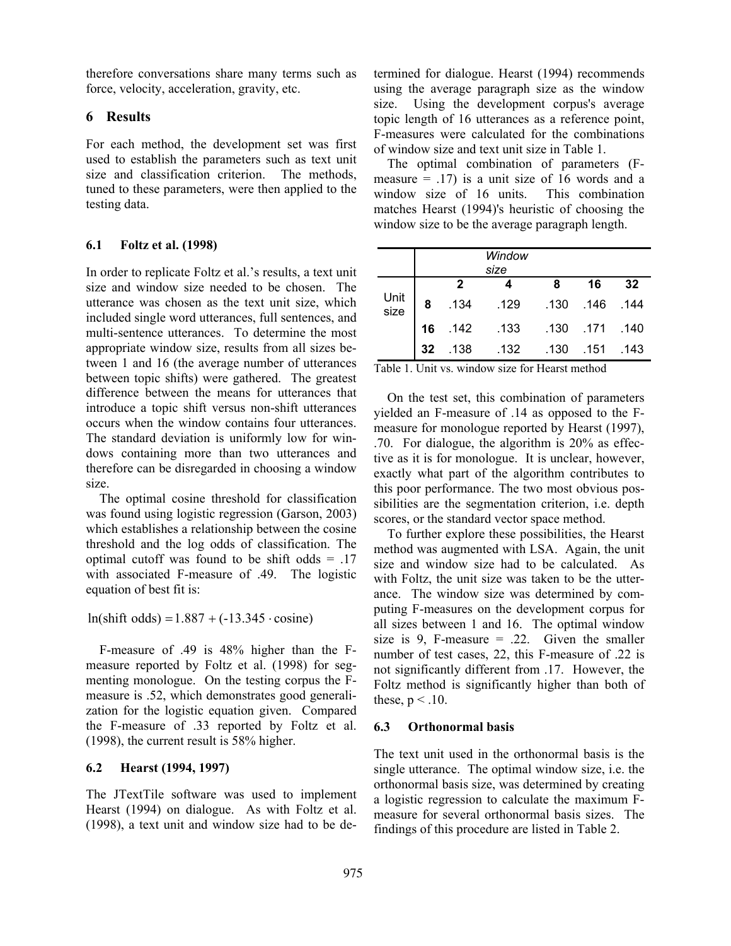therefore conversations share many terms such as force, velocity, acceleration, gravity, etc.

#### **6 Results**

For each method, the development set was first used to establish the parameters such as text unit size and classification criterion. The methods, tuned to these parameters, were then applied to the testing data.

#### **6.1 Foltz et al. (1998)**

In order to replicate Foltz et al.'s results, a text unit size and window size needed to be chosen. The utterance was chosen as the text unit size, which included single word utterances, full sentences, and multi-sentence utterances. To determine the most appropriate window size, results from all sizes between 1 and 16 (the average number of utterances between topic shifts) were gathered. The greatest difference between the means for utterances that introduce a topic shift versus non-shift utterances occurs when the window contains four utterances. The standard deviation is uniformly low for windows containing more than two utterances and therefore can be disregarded in choosing a window size.

The optimal cosine threshold for classification was found using logistic regression (Garson, 2003) which establishes a relationship between the cosine threshold and the log odds of classification. The optimal cutoff was found to be shift odds  $= .17$ with associated F-measure of .49. The logistic equation of best fit is:

 $ln(shift odds) = 1.887 + (-13.345 \cdot cosine)$ 

F-measure of .49 is 48% higher than the Fmeasure reported by Foltz et al. (1998) for segmenting monologue. On the testing corpus the Fmeasure is .52, which demonstrates good generalization for the logistic equation given. Compared the F-measure of .33 reported by Foltz et al. (1998), the current result is 58% higher.

# **6.2 Hearst (1994, 1997)**

The JTextTile software was used to implement Hearst (1994) on dialogue. As with Foltz et al. (1998), a text unit and window size had to be determined for dialogue. Hearst (1994) recommends using the average paragraph size as the window size. Using the development corpus's average topic length of 16 utterances as a reference point, F-measures were calculated for the combinations of window size and text unit size in Table 1.

The optimal combination of parameters (Fmeasure  $=$  .17) is a unit size of 16 words and a window size of 16 units. This combination matches Hearst (1994)'s heuristic of choosing the window size to be the average paragraph length.

|              |    |              | Window<br>size |      |                |      |
|--------------|----|--------------|----------------|------|----------------|------|
|              |    | $\mathbf{2}$ |                | 8    | 16             | 32   |
| Unit<br>size | 8  | .134         | .129           |      | .130 .146 .144 |      |
|              | 16 | $.142$       | .133           |      | .130 .171 .140 |      |
|              | 32 | .138         | .132           | .130 | .151           | .143 |

Table 1. Unit vs. window size for Hearst method

On the test set, this combination of parameters yielded an F-measure of .14 as opposed to the Fmeasure for monologue reported by Hearst (1997), .70. For dialogue, the algorithm is 20% as effective as it is for monologue. It is unclear, however, exactly what part of the algorithm contributes to this poor performance. The two most obvious possibilities are the segmentation criterion, i.e. depth scores, or the standard vector space method.

To further explore these possibilities, the Hearst method was augmented with LSA. Again, the unit size and window size had to be calculated. As with Foltz, the unit size was taken to be the utterance. The window size was determined by computing F-measures on the development corpus for all sizes between 1 and 16. The optimal window size is 9, F-measure  $= .22$ . Given the smaller number of test cases, 22, this F-measure of .22 is not significantly different from .17. However, the Foltz method is significantly higher than both of these,  $p < 0.10$ .

# **6.3 Orthonormal basis**

The text unit used in the orthonormal basis is the single utterance. The optimal window size, i.e. the orthonormal basis size, was determined by creating a logistic regression to calculate the maximum Fmeasure for several orthonormal basis sizes. The findings of this procedure are listed in Table 2.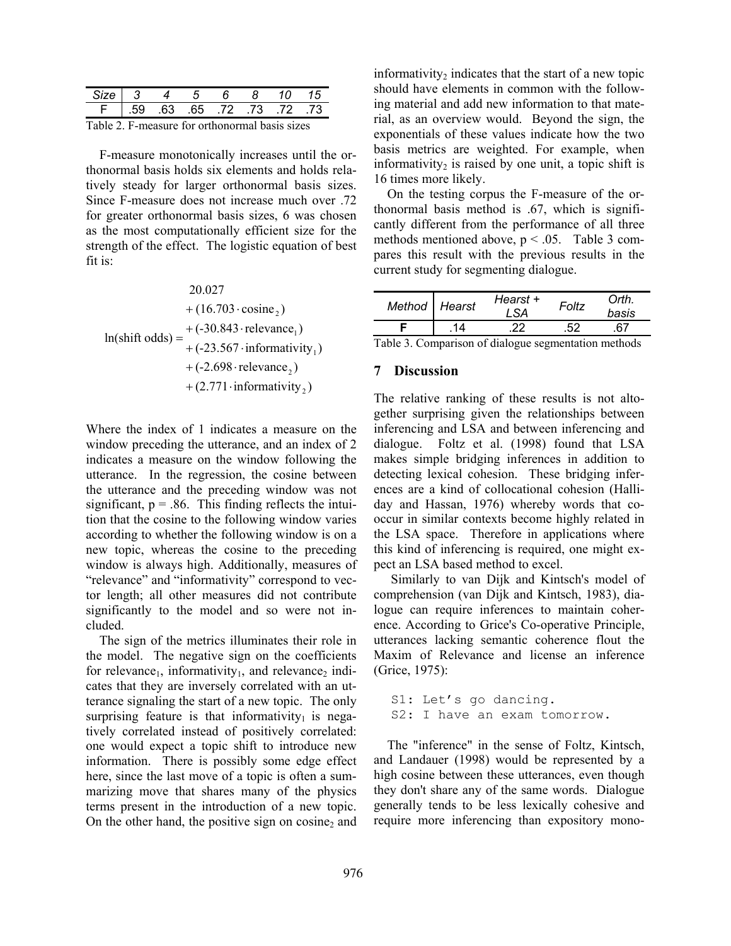|                                      | 1345 | n bi | - 8 | - 10     |  |
|--------------------------------------|------|------|-----|----------|--|
| 73. 72. 73. 73. 63. 63. 63. F   .59. |      |      |     |          |  |
|                                      |      |      |     | $\cdots$ |  |

Table 2. F-measure for orthonormal basis sizes

F-measure monotonically increases until the orthonormal basis holds six elements and holds relatively steady for larger orthonormal basis sizes. Since F-measure does not increase much over .72 for greater orthonormal basis sizes, 6 was chosen as the most computationally efficient size for the strength of the effect. The logistic equation of best fit is:

 $+(2.771 \cdot \text{informativity}_{2})$  $+$  (-2.698 · relevance  $_2$ )  $(-23.567 \cdot$  informativity<sub>1</sub>)  $(-30.843 \cdot$ relevance,)  $+(16.703 \cdot \text{cosine}_2)$ 20.027 ln(shift odds) 1 1  $+ (-23.567 \cdot$  $=$  +(-30.843 · relevance<sub>1</sub>)

Where the index of 1 indicates a measure on the window preceding the utterance, and an index of 2 indicates a measure on the window following the utterance. In the regression, the cosine between the utterance and the preceding window was not significant,  $p = .86$ . This finding reflects the intuition that the cosine to the following window varies according to whether the following window is on a new topic, whereas the cosine to the preceding window is always high. Additionally, measures of "relevance" and "informativity" correspond to vector length; all other measures did not contribute significantly to the model and so were not included.

The sign of the metrics illuminates their role in the model. The negative sign on the coefficients for relevance<sub>1</sub>, informativity<sub>1</sub>, and relevance<sub>2</sub> indicates that they are inversely correlated with an utterance signaling the start of a new topic. The only surprising feature is that informativity $<sub>1</sub>$  is nega-</sub> tively correlated instead of positively correlated: one would expect a topic shift to introduce new information. There is possibly some edge effect here, since the last move of a topic is often a summarizing move that shares many of the physics terms present in the introduction of a new topic. On the other hand, the positive sign on cosine, and

informativity, indicates that the start of a new topic should have elements in common with the following material and add new information to that material, as an overview would. Beyond the sign, the exponentials of these values indicate how the two basis metrics are weighted. For example, when informativity<sub>2</sub> is raised by one unit, a topic shift is 16 times more likely.

On the testing corpus the F-measure of the orthonormal basis method is .67, which is significantly different from the performance of all three methods mentioned above,  $p < .05$ . Table 3 compares this result with the previous results in the current study for segmenting dialogue.

| Method Hearst                             | Hearst +<br>I SA | Foltz | Orth.<br>basis |
|-------------------------------------------|------------------|-------|----------------|
|                                           |                  | 52    |                |
| $\mathbf{m}$ 11 $\mathbf{a}$ $\mathbf{a}$ | 0.11.1           |       |                |

Table 3. Comparison of dialogue segmentation methods

# **7 Discussion**

The relative ranking of these results is not altogether surprising given the relationships between inferencing and LSA and between inferencing and dialogue. Foltz et al. (1998) found that LSA makes simple bridging inferences in addition to detecting lexical cohesion. These bridging inferences are a kind of collocational cohesion (Halliday and Hassan, 1976) whereby words that cooccur in similar contexts become highly related in the LSA space. Therefore in applications where this kind of inferencing is required, one might expect an LSA based method to excel.

Similarly to van Dijk and Kintsch's model of comprehension (van Dijk and Kintsch, 1983), dialogue can require inferences to maintain coherence. According to Grice's Co-operative Principle, utterances lacking semantic coherence flout the Maxim of Relevance and license an inference (Grice, 1975):

```
S1: Let's go dancing. 
S2: I have an exam tomorrow.
```
The "inference" in the sense of Foltz, Kintsch, and Landauer (1998) would be represented by a high cosine between these utterances, even though they don't share any of the same words. Dialogue generally tends to be less lexically cohesive and require more inferencing than expository mono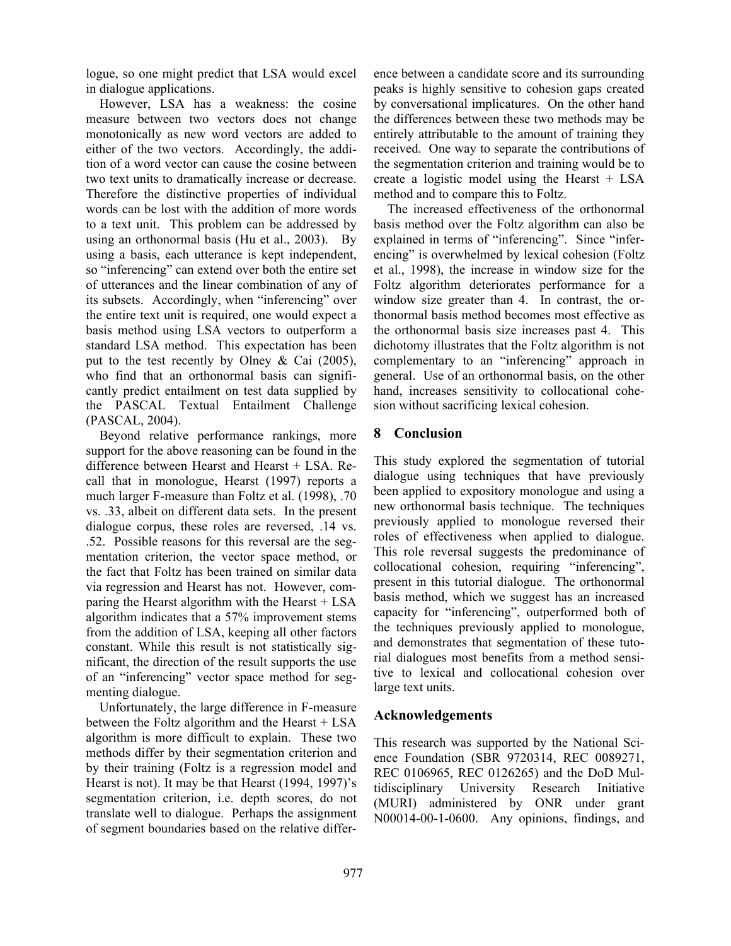logue, so one might predict that LSA would excel in dialogue applications.

However, LSA has a weakness: the cosine measure between two vectors does not change monotonically as new word vectors are added to either of the two vectors. Accordingly, the addition of a word vector can cause the cosine between two text units to dramatically increase or decrease. Therefore the distinctive properties of individual words can be lost with the addition of more words to a text unit. This problem can be addressed by using an orthonormal basis (Hu et al., 2003). By using a basis, each utterance is kept independent, so "inferencing" can extend over both the entire set of utterances and the linear combination of any of its subsets. Accordingly, when "inferencing" over the entire text unit is required, one would expect a basis method using LSA vectors to outperform a standard LSA method. This expectation has been put to the test recently by Olney & Cai (2005), who find that an orthonormal basis can significantly predict entailment on test data supplied by the PASCAL Textual Entailment Challenge (PASCAL, 2004).

Beyond relative performance rankings, more support for the above reasoning can be found in the difference between Hearst and Hearst + LSA. Recall that in monologue, Hearst (1997) reports a much larger F-measure than Foltz et al. (1998), .70 vs. .33, albeit on different data sets. In the present dialogue corpus, these roles are reversed, .14 vs. .52. Possible reasons for this reversal are the segmentation criterion, the vector space method, or the fact that Foltz has been trained on similar data via regression and Hearst has not. However, comparing the Hearst algorithm with the Hearst + LSA algorithm indicates that a 57% improvement stems from the addition of LSA, keeping all other factors constant. While this result is not statistically significant, the direction of the result supports the use of an "inferencing" vector space method for segmenting dialogue.

Unfortunately, the large difference in F-measure between the Foltz algorithm and the Hearst + LSA algorithm is more difficult to explain. These two methods differ by their segmentation criterion and by their training (Foltz is a regression model and Hearst is not). It may be that Hearst (1994, 1997)'s segmentation criterion, i.e. depth scores, do not translate well to dialogue. Perhaps the assignment of segment boundaries based on the relative difference between a candidate score and its surrounding peaks is highly sensitive to cohesion gaps created by conversational implicatures. On the other hand the differences between these two methods may be entirely attributable to the amount of training they received. One way to separate the contributions of the segmentation criterion and training would be to create a logistic model using the Hearst + LSA method and to compare this to Foltz.

The increased effectiveness of the orthonormal basis method over the Foltz algorithm can also be explained in terms of "inferencing". Since "inferencing" is overwhelmed by lexical cohesion (Foltz et al., 1998), the increase in window size for the Foltz algorithm deteriorates performance for a window size greater than 4. In contrast, the orthonormal basis method becomes most effective as the orthonormal basis size increases past 4. This dichotomy illustrates that the Foltz algorithm is not complementary to an "inferencing" approach in general. Use of an orthonormal basis, on the other hand, increases sensitivity to collocational cohesion without sacrificing lexical cohesion.

# **8 Conclusion**

This study explored the segmentation of tutorial dialogue using techniques that have previously been applied to expository monologue and using a new orthonormal basis technique. The techniques previously applied to monologue reversed their roles of effectiveness when applied to dialogue. This role reversal suggests the predominance of collocational cohesion, requiring "inferencing", present in this tutorial dialogue. The orthonormal basis method, which we suggest has an increased capacity for "inferencing", outperformed both of the techniques previously applied to monologue, and demonstrates that segmentation of these tutorial dialogues most benefits from a method sensitive to lexical and collocational cohesion over large text units.

# **Acknowledgements**

This research was supported by the National Science Foundation (SBR 9720314, REC 0089271, REC 0106965, REC 0126265) and the DoD Multidisciplinary University Research Initiative (MURI) administered by ONR under grant N00014-00-1-0600. Any opinions, findings, and